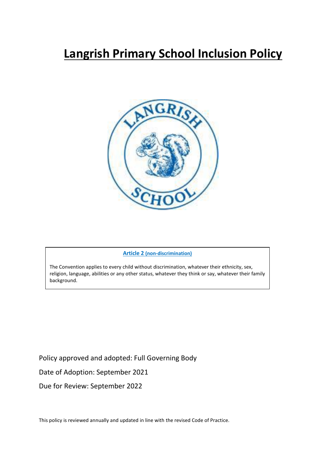

# **Article 2 (non-discrimination)**

The Convention applies to every child without discrimination, whatever their ethnicity, sex, religion, language, abilities or any other status, whatever they think or say, whatever their family background.

Policy approved and adopted: Full Governing Body

Date of Adoption: September 2021

Due for Review: September 2022

This policy is reviewed annually and updated in line with the revised Code of Practice.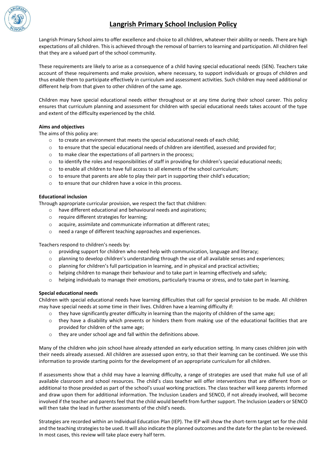

Langrish Primary School aims to offer excellence and choice to all children, whatever their ability or needs. There are high expectations of all children. This is achieved through the removal of barriers to learning and participation. All children feel that they are a valued part of the school community.

These requirements are likely to arise as a consequence of a child having special educational needs (SEN). Teachers take account of these requirements and make provision, where necessary, to support individuals or groups of children and thus enable them to participate effectively in curriculum and assessment activities. Such children may need additional or different help from that given to other children of the same age.

Children may have special educational needs either throughout or at any time during their school career. This policy ensures that curriculum planning and assessment for children with special educational needs takes account of the type and extent of the difficulty experienced by the child.

# **Aims and objectives**

The aims of this policy are:

- $\circ$  to create an environment that meets the special educational needs of each child;
- $\circ$  to ensure that the special educational needs of children are identified, assessed and provided for;
- o to make clear the expectations of all partners in the process;
- $\circ$  to identify the roles and responsibilities of staff in providing for children's special educational needs;
- o to enable all children to have full access to all elements of the school curriculum;
- $\circ$  to ensure that parents are able to play their part in supporting their child's education;
- o to ensure that our children have a voice in this process.

# **Educational inclusion**

Through appropriate curricular provision, we respect the fact that children:

- o have different educational and behavioural needs and aspirations;
- o require different strategies for learning;
- o acquire, assimilate and communicate information at different rates;
- o need a range of different teaching approaches and experiences.

Teachers respond to children's needs by:

- $\circ$  providing support for children who need help with communication, language and literacy;
- $\circ$  planning to develop children's understanding through the use of all available senses and experiences;
- o planning for children's full participation in learning, and in physical and practical activities;
- o helping children to manage their behaviour and to take part in learning effectively and safely;
- $\circ$  helping individuals to manage their emotions, particularly trauma or stress, and to take part in learning.

# **Special educational needs**

Children with special educational needs have learning difficulties that call for special provision to be made. All children may have special needs at some time in their lives. Children have a learning difficulty if:

- $\circ$  they have significantly greater difficulty in learning than the majority of children of the same age;
- $\circ$  they have a disability which prevents or hinders them from making use of the educational facilities that are provided for children of the same age;
- o they are under school age and fall within the definitions above.

Many of the children who join school have already attended an early education setting. In many cases children join with their needs already assessed. All children are assessed upon entry, so that their learning can be continued. We use this information to provide starting points for the development of an appropriate curriculum for all children.

If assessments show that a child may have a learning difficulty, a range of strategies are used that make full use of all available classroom and school resources. The child's class teacher will offer interventions that are different from or additional to those provided as part of the school's usual working practices. The class teacher will keep parents informed and draw upon them for additional information. The Inclusion Leaders and SENCO, if not already involved, will become involved if the teacher and parents feel that the child would benefit from further support. The Inclusion Leaders or SENCO will then take the lead in further assessments of the child's needs.

Strategies are recorded within an Individual Education Plan (IEP). The IEP will show the short-term target set for the child and the teaching strategies to be used. It will also indicate the planned outcomes and the date for the plan to be reviewed. In most cases, this review will take place every half term.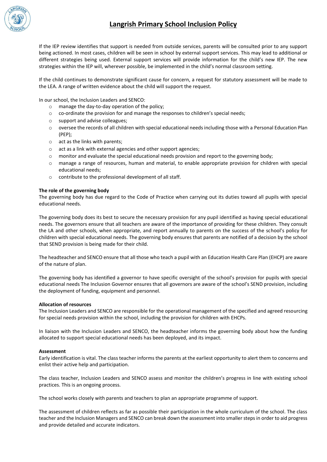

If the IEP review identifies that support is needed from outside services, parents will be consulted prior to any support being actioned. In most cases, children will be seen in school by external support services. This may lead to additional or different strategies being used. External support services will provide information for the child's new IEP. The new strategies within the IEP will, wherever possible, be implemented in the child's normal classroom setting.

If the child continues to demonstrate significant cause for concern, a request for statutory assessment will be made to the LEA. A range of written evidence about the child will support the request.

In our school, the Inclusion Leaders and SENCO:

- o manage the day-to-day operation of the policy;
- o co-ordinate the provision for and manage the responses to children's special needs;
- o support and advise colleagues;
- o oversee the records of all children with special educational needs including those with a Personal Education Plan (PEP);
- o act as the links with parents;
- o act as a link with external agencies and other support agencies;
- o monitor and evaluate the special educational needs provision and report to the governing body;
- o manage a range of resources, human and material, to enable appropriate provision for children with special educational needs;
- o contribute to the professional development of all staff.

#### **The role of the governing body**

The governing body has due regard to the Code of Practice when carrying out its duties toward all pupils with special educational needs.

The governing body does its best to secure the necessary provision for any pupil identified as having special educational needs. The governors ensure that all teachers are aware of the importance of providing for these children. They consult the LA and other schools, when appropriate, and report annually to parents on the success of the school's policy for children with special educational needs. The governing body ensures that parents are notified of a decision by the school that SEND provision is being made for their child.

The headteacher and SENCO ensure that all those who teach a pupil with an Education Health Care Plan (EHCP) are aware of the nature of plan.

The governing body has identified a governor to have specific oversight of the school's provision for pupils with special educational needs The Inclusion Governor ensures that all governors are aware of the school's SEND provision, including the deployment of funding, equipment and personnel.

#### **Allocation of resources**

The Inclusion Leaders and SENCO are responsible for the operational management of the specified and agreed resourcing for special needs provision within the school, including the provision for children with EHCPs.

In liaison with the Inclusion Leaders and SENCO, the headteacher informs the governing body about how the funding allocated to support special educational needs has been deployed, and its impact.

#### **Assessment**

Early identification is vital. The class teacher informs the parents at the earliest opportunity to alert them to concerns and enlist their active help and participation.

The class teacher, Inclusion Leaders and SENCO assess and monitor the children's progress in line with existing school practices. This is an ongoing process.

The school works closely with parents and teachers to plan an appropriate programme of support.

The assessment of children reflects as far as possible their participation in the whole curriculum of the school. The class teacher and the Inclusion Managers and SENCO can break down the assessment into smaller steps in order to aid progress and provide detailed and accurate indicators.